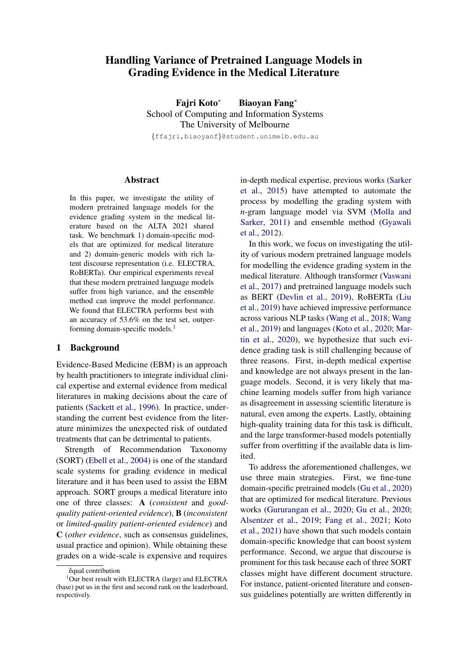# Handling Variance of Pretrained Language Models in Grading Evidence in the Medical Literature

Fajri Koto<sup>∗</sup> Biaoyan Fang<sup>∗</sup> School of Computing and Information Systems The University of Melbourne {ffajri,biaoyanf}@student.unimelb.edu.au

Abstract

In this paper, we investigate the utility of modern pretrained language models for the evidence grading system in the medical literature based on the ALTA 2021 shared task. We benchmark 1) domain-specific models that are optimized for medical literature and 2) domain-generic models with rich latent discourse representation (i.e. ELECTRA, RoBERTa). Our empirical experiments reveal that these modern pretrained language models suffer from high variance, and the ensemble method can improve the model performance. We found that ELECTRA performs best with an accuracy of 53.6% on the test set, outper-forming domain-specific models.<sup>[1](#page-0-0)</sup>

# 1 Background

Evidence-Based Medicine (EBM) is an approach by health practitioners to integrate individual clinical expertise and external evidence from medical literatures in making decisions about the care of patients [\(Sackett et al.,](#page-5-0) [1996\)](#page-5-0). In practice, understanding the current best evidence from the literature minimizes the unexpected risk of outdated treatments that can be detrimental to patients.

Strength of Recommendation Taxonomy (SORT) [\(Ebell et al.,](#page-4-0) [2004\)](#page-4-0) is one of the standard scale systems for grading evidence in medical literature and it has been used to assist the EBM approach. SORT groups a medical literature into one of three classes: A (*consistent* and *goodquality patient-oriented evidence*), B (*inconsistent* or *limited-quality patient-oriented evidence*) and C (*other evidence*, such as consensus guidelines, usual practice and opinion). While obtaining these grades on a wide-scale is expensive and requires in-depth medical expertise, previous works [\(Sarker](#page-5-1) [et al.,](#page-5-1) [2015\)](#page-5-1) have attempted to automate the process by modelling the grading system with *n*-gram language model via SVM [\(Molla and](#page-5-2) [Sarker,](#page-5-2) [2011\)](#page-5-2) and ensemble method [\(Gyawali](#page-4-1) [et al.,](#page-4-1) [2012\)](#page-4-1).

In this work, we focus on investigating the utility of various modern pretrained language models for modelling the evidence grading system in the medical literature. Although transformer [\(Vaswani](#page-5-3) [et al.,](#page-5-3) [2017\)](#page-5-3) and pretrained language models such as BERT [\(Devlin et al.,](#page-4-2) [2019\)](#page-4-2), RoBERTa [\(Liu](#page-5-4) [et al.,](#page-5-4) [2019\)](#page-5-4) have achieved impressive performance across various NLP tasks [\(Wang et al.,](#page-5-5) [2018;](#page-5-5) [Wang](#page-5-6) [et al.,](#page-5-6) [2019\)](#page-5-6) and languages [\(Koto et al.,](#page-4-3) [2020;](#page-4-3) [Mar](#page-5-7)[tin et al.,](#page-5-7) [2020\)](#page-5-7), we hypothesize that such evidence grading task is still challenging because of three reasons. First, in-depth medical expertise and knowledge are not always present in the language models. Second, it is very likely that machine learning models suffer from high variance as disagreement in assessing scientific literature is natural, even among the experts. Lastly, obtaining high-quality training data for this task is difficult, and the large transformer-based models potentially suffer from overfitting if the available data is limited.

To address the aforementioned challenges, we use three main strategies. First, we fine-tune domain-specific pretrained models [\(Gu et al.,](#page-4-4) [2020\)](#page-4-4) that are optimized for medical literature. Previous works [\(Gururangan et al.,](#page-4-5) [2020;](#page-4-5) [Gu et al.,](#page-4-4) [2020;](#page-4-4) [Alsentzer et al.,](#page-4-6) [2019;](#page-4-6) [Fang et al.,](#page-4-7) [2021;](#page-4-7) [Koto](#page-4-8) [et al.,](#page-4-8) [2021\)](#page-4-8) have shown that such models contain domain-specific knowledge that can boost system performance. Second, we argue that discourse is prominent for this task because each of three SORT classes might have different document structure. For instance, patient-oriented literature and consensus guidelines potentially are written differently in

<span id="page-0-0"></span><sup>∗</sup> equal contribution

<sup>&</sup>lt;sup>1</sup>Our best result with ELECTRA (large) and ELECTRA (base) put us in the first and second rank on the leaderboard, respectively.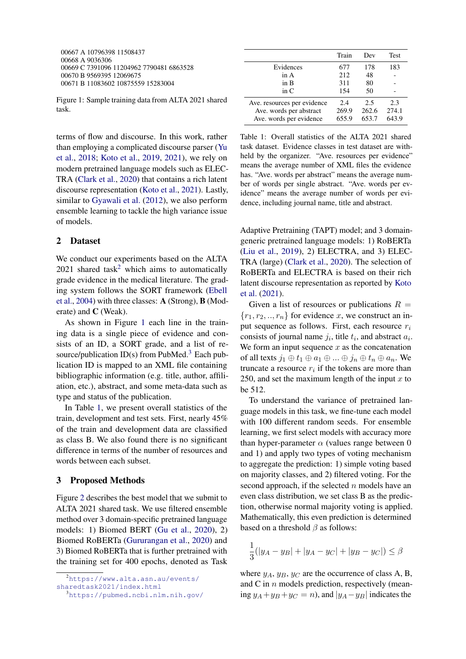<span id="page-1-1"></span>00667 A 10796398 11508437 00668 A 9036306 00669 C 7391096 11204962 7790481 6863528 00670 B 9569395 12069675 00671 B 11083602 10875559 15283004

Figure 1: Sample training data from ALTA 2021 shared task.

terms of flow and discourse. In this work, rather than employing a complicated discourse parser [\(Yu](#page-5-8) [et al.,](#page-5-8) [2018;](#page-5-8) [Koto et al.,](#page-4-9) [2019,](#page-4-9) [2021\)](#page-4-10), we rely on modern pretrained language models such as ELEC-TRA [\(Clark et al.,](#page-4-11) [2020\)](#page-4-11) that contains a rich latent discourse representation [\(Koto et al.,](#page-4-12) [2021\)](#page-4-12). Lastly, similar to [Gyawali et al.](#page-4-1) [\(2012\)](#page-4-1), we also perform ensemble learning to tackle the high variance issue of models.

# 2 Dataset

We conduct our experiments based on the ALTA [2](#page-1-0)021 shared task<sup>2</sup> which aims to automatically grade evidence in the medical literature. The grading system follows the SORT framework [\(Ebell](#page-4-0) [et al.,](#page-4-0) [2004\)](#page-4-0) with three classes: A (Strong), B (Moderate) and C (Weak).

As shown in Figure [1](#page-1-1) each line in the training data is a single piece of evidence and consists of an ID, a SORT grade, and a list of re-source/publication ID(s) from PubMed.<sup>[3](#page-1-2)</sup> Each publication ID is mapped to an XML file containing bibliographic information (e.g. title, author, affiliation, etc.), abstract, and some meta-data such as type and status of the publication.

In Table [1,](#page-1-3) we present overall statistics of the train, development and test sets. First, nearly 45% of the train and development data are classified as class B. We also found there is no significant difference in terms of the number of resources and words between each subset.

#### 3 Proposed Methods

Figure [2](#page-2-0) describes the best model that we submit to ALTA 2021 shared task. We use filtered ensemble method over 3 domain-specific pretrained language models: 1) Biomed BERT [\(Gu et al.,](#page-4-4) [2020\)](#page-4-4), 2) Biomed RoBERTa [\(Gururangan et al.,](#page-4-5) [2020\)](#page-4-5) and 3) Biomed RoBERTa that is further pretrained with the training set for 400 epochs, denoted as Task

<span id="page-1-3"></span>

| Train | Dev   | <b>Test</b> |
|-------|-------|-------------|
| 677   | 178   | 183         |
| 212   | 48    |             |
| 311   | 80    |             |
| 154   | 50    |             |
| 2.4   | 2.5   | 2.3         |
| 269.9 | 262.6 | 274.1       |
| 655.9 | 653.7 | 643.9       |
|       |       |             |

Table 1: Overall statistics of the ALTA 2021 shared task dataset. Evidence classes in test dataset are withheld by the organizer. "Ave. resources per evidence" means the average number of XML files the evidence has. "Ave. words per abstract" means the average number of words per single abstract. "Ave. words per evidence" means the average number of words per evidence, including journal name, title and abstract.

Adaptive Pretraining (TAPT) model; and 3 domaingeneric pretrained language models: 1) RoBERTa [\(Liu et al.,](#page-5-4) [2019\)](#page-5-4), 2) ELECTRA, and 3) ELEC-TRA (large) [\(Clark et al.,](#page-4-11) [2020\)](#page-4-11). The selection of RoBERTa and ELECTRA is based on their rich latent discourse representation as reported by [Koto](#page-4-12) [et al.](#page-4-12) [\(2021\)](#page-4-12).

Given a list of resources or publications  $R =$  ${r_1, r_2, ..., r_n}$  for evidence x, we construct an input sequence as follows. First, each resource  $r_i$ consists of journal name  $j_i$ , title  $t_i$ , and abstract  $a_i$ . We form an input sequence  $x$  as the concatenation of all texts  $j_1 \oplus t_1 \oplus a_1 \oplus ... \oplus j_n \oplus t_n \oplus a_n$ . We truncate a resource  $r_i$  if the tokens are more than 250, and set the maximum length of the input  $x$  to be 512.

To understand the variance of pretrained language models in this task, we fine-tune each model with 100 different random seeds. For ensemble learning, we first select models with accuracy more than hyper-parameter  $\alpha$  (values range between 0 and 1) and apply two types of voting mechanism to aggregate the prediction: 1) simple voting based on majority classes, and 2) filtered voting. For the second approach, if the selected  $n$  models have an even class distribution, we set class B as the prediction, otherwise normal majority voting is applied. Mathematically, this even prediction is determined based on a threshold  $\beta$  as follows:

$$
\frac{1}{3}(|y_A - y_B| + |y_A - y_C| + |y_B - y_C|) \le \beta
$$

where  $y_A$ ,  $y_B$ ,  $y_C$  are the occurrence of class A, B, and C in  $n$  models prediction, respectively (meaning  $y_A + y_B + y_C = n$ , and  $|y_A - y_B|$  indicates the

<span id="page-1-0"></span><sup>2</sup>[https://www.alta.asn.au/events/](https://www.alta.asn.au/events/sharedtask2021/index.html) [sharedtask2021/index.html](https://www.alta.asn.au/events/sharedtask2021/index.html)

<span id="page-1-2"></span><sup>3</sup><https://pubmed.ncbi.nlm.nih.gov/>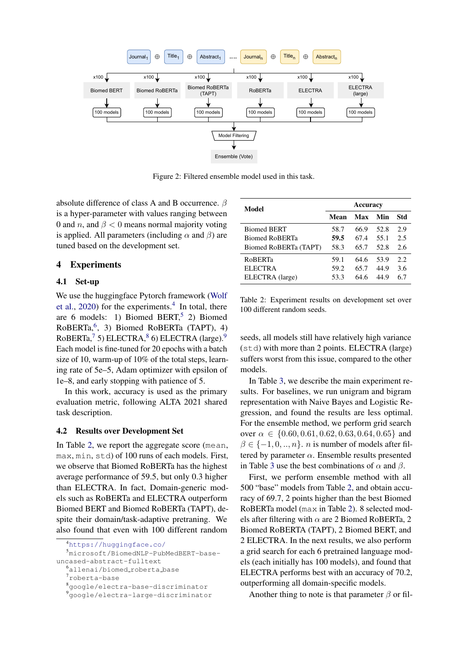<span id="page-2-0"></span>

Figure 2: Filtered ensemble model used in this task.

absolute difference of class A and B occurrence.  $\beta$ is a hyper-parameter with values ranging between 0 and n, and  $\beta$  < 0 means normal majority voting is applied. All parameters (including  $\alpha$  and  $\beta$ ) are tuned based on the development set.

#### 4 Experiments

#### 4.1 Set-up

We use the huggingface Pytorch framework [\(Wolf](#page-5-9) [et al.,](#page-5-9)  $2020$ ) for the experiments.<sup>[4](#page-2-1)</sup> In total, there are 6 models: 1) Biomed BERT,  $5$  2) Biomed RoBERTa,[6](#page-2-3) , 3) Biomed RoBERTa (TAPT), 4) RoBERTa,  $(7, 5)$  $(7, 5)$  $(7, 5)$  ELECTRA,  $(8, 6)$  $(8, 6)$  $(8, 6)$  ELECTRA  $(1)$ Each model is fine-tuned for 20 epochs with a batch size of 10, warm-up of 10% of the total steps, learning rate of 5e–5, Adam optimizer with epsilon of 1e–8, and early stopping with patience of 5.

In this work, accuracy is used as the primary evaluation metric, following ALTA 2021 shared task description.

#### 4.2 Results over Development Set

In Table [2,](#page-2-7) we report the aggregate score (mean, max, min, std) of 100 runs of each models. First, we observe that Biomed RoBERTa has the highest average performance of 59.5, but only 0.3 higher than ELECTRA. In fact, Domain-generic models such as RoBERTa and ELECTRA outperform Biomed BERT and Biomed RoBERTa (TAPT), despite their domain/task-adaptive pretraning. We also found that even with 100 different random

<span id="page-2-7"></span>

| Model                 | <b>Accuracy</b> |      |      |      |
|-----------------------|-----------------|------|------|------|
|                       | Mean            | Max  | Min  | Std  |
| <b>Biomed BERT</b>    | 58.7            | 66.9 | 52.8 | 2.9  |
| Biomed RoBERTa        | 59.5            | 67.4 | 55.1 | 2.5  |
| Biomed RoBERTa (TAPT) | 58.3            | 65.7 | 52.8 | 2.6  |
| <b>RoBERTa</b>        | 59.1            | 64.6 | 53.9 | 2.2. |
| <b>ELECTRA</b>        | 59.2            | 65.7 | 44.9 | 3.6  |
| ELECTRA (large)       | 53.3            | 64.6 | 44.9 | 6.7  |

Table 2: Experiment results on development set over 100 different random seeds.

seeds, all models still have relatively high variance (std) with more than 2 points. ELECTRA (large) suffers worst from this issue, compared to the other models.

In Table [3,](#page-3-0) we describe the main experiment results. For baselines, we run unigram and bigram representation with Naive Bayes and Logistic Regression, and found the results are less optimal. For the ensemble method, we perform grid search over  $\alpha \in \{0.60, 0.61, 0.62, 0.63, 0.64, 0.65\}$  and  $\beta \in \{-1, 0, \ldots, n\}$ . *n* is number of models after filtered by parameter  $\alpha$ . Ensemble results presented in Table [3](#page-3-0) use the best combinations of  $\alpha$  and  $\beta$ .

First, we perform ensemble method with all 500 "base" models from Table [2,](#page-2-7) and obtain accuracy of 69.7, 2 points higher than the best Biomed RoBERTa model (max in Table [2\)](#page-2-7). 8 selected models after filtering with  $\alpha$  are 2 Biomed RoBERTa, 2 Biomed RoBERTA (TAPT), 2 Biomed BERT, and 2 ELECTRA. In the next results, we also perform a grid search for each 6 pretrained language models (each initially has 100 models), and found that ELECTRA performs best with an accuracy of 70.2, outperforming all domain-specific models.

Another thing to note is that parameter  $\beta$  or fil-

<span id="page-2-2"></span><span id="page-2-1"></span><sup>4</sup><https://huggingface.co/>

<sup>5</sup>microsoft/BiomedNLP-PubMedBERT-baseuncased-abstract-fulltext

<span id="page-2-3"></span><sup>6</sup>allenai/biomed roberta base

<span id="page-2-4"></span><sup>7</sup>roberta-base

<span id="page-2-5"></span><sup>8</sup>google/electra-base-discriminator

<span id="page-2-6"></span><sup>9</sup>google/electra-large-discriminator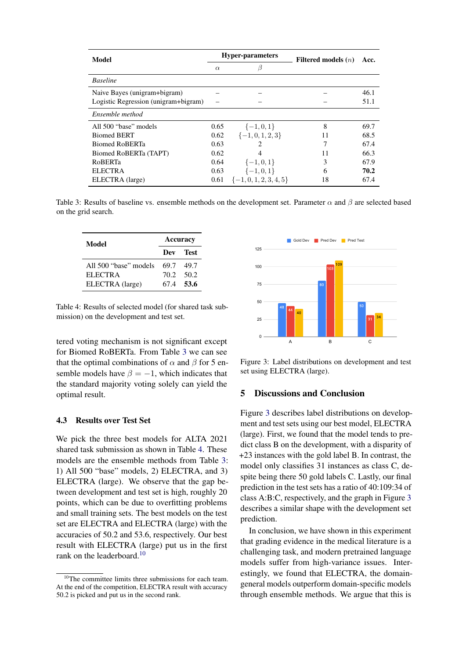<span id="page-3-0"></span>

| Model                                | <b>Hyper-parameters</b> |                      | Filtered models $(n)$ | Acc. |
|--------------------------------------|-------------------------|----------------------|-----------------------|------|
|                                      | $\alpha$                | ß                    |                       |      |
| <b>Baseline</b>                      |                         |                      |                       |      |
| Naive Bayes (unigram+bigram)         |                         |                      |                       | 46.1 |
| Logistic Regression (unigram+bigram) |                         |                      |                       | 51.1 |
| Ensemble method                      |                         |                      |                       |      |
| All 500 "base" models                | 0.65                    | $\{-1,0,1\}$         | 8                     | 69.7 |
| <b>Biomed BERT</b>                   | 0.62                    | $\{-1,0,1,2,3\}$     | 11                    | 68.5 |
| <b>Biomed RoBERTa</b>                | 0.63                    |                      | 7                     | 67.4 |
| Biomed RoBERTa (TAPT)                | 0.62                    |                      | 11                    | 66.3 |
| <b>RoBERTa</b>                       | 0.64                    | $\{-1,0,1\}$         | 3                     | 67.9 |
| <b>ELECTRA</b>                       | 0.63                    | $\{-1,0,1\}$         | 6                     | 70.2 |
| ELECTRA (large)                      | 0.61                    | $\{-1,0,1,2,3,4,5\}$ | 18                    | 67.4 |

Table 3: Results of baseline vs. ensemble methods on the development set. Parameter  $\alpha$  and  $\beta$  are selected based on the grid search.

<span id="page-3-1"></span>

| Model                 | <b>Accuracy</b> |           |  |
|-----------------------|-----------------|-----------|--|
|                       |                 | Dev Test  |  |
| All 500 "base" models | 69.7            | 49.7      |  |
| ELECTRA               |                 | 70.2 50.2 |  |
| ELECTRA (large)       |                 | 67.4 53.6 |  |

Table 4: Results of selected model (for shared task submission) on the development and test set.

tered voting mechanism is not significant except for Biomed RoBERTa. From Table [3](#page-3-0) we can see that the optimal combinations of  $\alpha$  and  $\beta$  for 5 ensemble models have  $\beta = -1$ , which indicates that the standard majority voting solely can yield the optimal result.

#### 4.3 Results over Test Set

We pick the three best models for ALTA 2021 shared task submission as shown in Table [4.](#page-3-1) These models are the ensemble methods from Table [3:](#page-3-0) 1) All 500 "base" models, 2) ELECTRA, and 3) ELECTRA (large). We observe that the gap between development and test set is high, roughly 20 points, which can be due to overfitting problems and small training sets. The best models on the test set are ELECTRA and ELECTRA (large) with the accuracies of 50.2 and 53.6, respectively. Our best result with ELECTRA (large) put us in the first rank on the leaderboard.<sup>[10](#page-3-2)</sup>

<span id="page-3-3"></span>

Figure 3: Label distributions on development and test set using ELECTRA (large).

# 5 Discussions and Conclusion

Figure [3](#page-3-3) describes label distributions on development and test sets using our best model, ELECTRA (large). First, we found that the model tends to predict class B on the development, with a disparity of +23 instances with the gold label B. In contrast, the model only classifies 31 instances as class C, despite being there 50 gold labels C. Lastly, our final prediction in the test sets has a ratio of 40:109:34 of class A:B:C, respectively, and the graph in Figure [3](#page-3-3) describes a similar shape with the development set prediction.

In conclusion, we have shown in this experiment that grading evidence in the medical literature is a challenging task, and modern pretrained language models suffer from high-variance issues. Interestingly, we found that ELECTRA, the domaingeneral models outperform domain-specific models through ensemble methods. We argue that this is

<span id="page-3-2"></span><sup>&</sup>lt;sup>10</sup>The committee limits three submissions for each team. At the end of the competition, ELECTRA result with accuracy 50.2 is picked and put us in the second rank.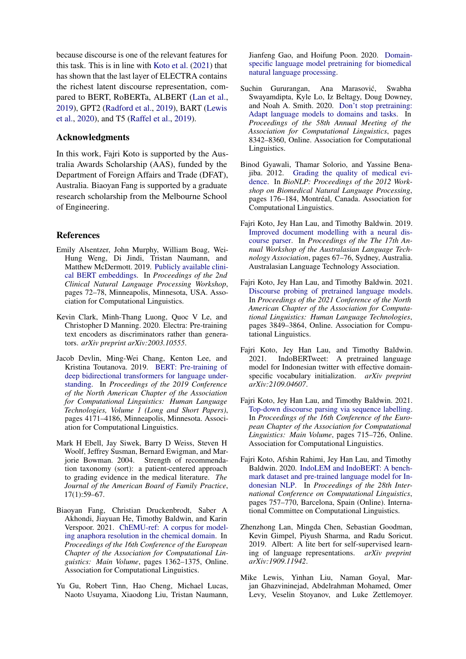because discourse is one of the relevant features for this task. This is in line with [Koto et al.](#page-4-12) [\(2021\)](#page-4-12) that has shown that the last layer of ELECTRA contains the richest latent discourse representation, compared to BERT, RoBERTa, ALBERT [\(Lan et al.,](#page-4-13) [2019\)](#page-4-13), GPT2 [\(Radford et al.,](#page-5-10) [2019\)](#page-5-10), BART [\(Lewis](#page-4-14) [et al.,](#page-4-14) [2020\)](#page-4-14), and T5 [\(Raffel et al.,](#page-5-11) [2019\)](#page-5-11).

# Acknowledgments

In this work, Fajri Koto is supported by the Australia Awards Scholarship (AAS), funded by the Department of Foreign Affairs and Trade (DFAT), Australia. Biaoyan Fang is supported by a graduate research scholarship from the Melbourne School of Engineering.

# References

- <span id="page-4-6"></span>Emily Alsentzer, John Murphy, William Boag, Wei-Hung Weng, Di Jindi, Tristan Naumann, and Matthew McDermott. 2019. [Publicly available clini](https://doi.org/10.18653/v1/W19-1909)[cal BERT embeddings.](https://doi.org/10.18653/v1/W19-1909) In *Proceedings of the 2nd Clinical Natural Language Processing Workshop*, pages 72–78, Minneapolis, Minnesota, USA. Association for Computational Linguistics.
- <span id="page-4-11"></span>Kevin Clark, Minh-Thang Luong, Quoc V Le, and Christopher D Manning. 2020. Electra: Pre-training text encoders as discriminators rather than generators. *arXiv preprint arXiv:2003.10555*.
- <span id="page-4-2"></span>Jacob Devlin, Ming-Wei Chang, Kenton Lee, and Kristina Toutanova. 2019. [BERT: Pre-training of](https://doi.org/10.18653/v1/N19-1423) [deep bidirectional transformers for language under](https://doi.org/10.18653/v1/N19-1423)[standing.](https://doi.org/10.18653/v1/N19-1423) In *Proceedings of the 2019 Conference of the North American Chapter of the Association for Computational Linguistics: Human Language Technologies, Volume 1 (Long and Short Papers)*, pages 4171–4186, Minneapolis, Minnesota. Association for Computational Linguistics.
- <span id="page-4-0"></span>Mark H Ebell, Jay Siwek, Barry D Weiss, Steven H Woolf, Jeffrey Susman, Bernard Ewigman, and Marjorie Bowman. 2004. Strength of recommendation taxonomy (sort): a patient-centered approach to grading evidence in the medical literature. *The Journal of the American Board of Family Practice*, 17(1):59–67.
- <span id="page-4-7"></span>Biaoyan Fang, Christian Druckenbrodt, Saber A Akhondi, Jiayuan He, Timothy Baldwin, and Karin Verspoor. 2021. [ChEMU-ref: A corpus for model](https://aclanthology.org/2021.eacl-main.116)[ing anaphora resolution in the chemical domain.](https://aclanthology.org/2021.eacl-main.116) In *Proceedings of the 16th Conference of the European Chapter of the Association for Computational Linguistics: Main Volume*, pages 1362–1375, Online. Association for Computational Linguistics.
- <span id="page-4-4"></span>Yu Gu, Robert Tinn, Hao Cheng, Michael Lucas, Naoto Usuyama, Xiaodong Liu, Tristan Naumann,

Jianfeng Gao, and Hoifung Poon. 2020. [Domain](http://arxiv.org/abs/arXiv:2007.15779)[specific language model pretraining for biomedical](http://arxiv.org/abs/arXiv:2007.15779) [natural language processing.](http://arxiv.org/abs/arXiv:2007.15779)

- <span id="page-4-5"></span>Suchin Gururangan, Ana Marasović, Swabha Swayamdipta, Kyle Lo, Iz Beltagy, Doug Downey, and Noah A. Smith. 2020. [Don't stop pretraining:](https://doi.org/10.18653/v1/2020.acl-main.740) [Adapt language models to domains and tasks.](https://doi.org/10.18653/v1/2020.acl-main.740) In *Proceedings of the 58th Annual Meeting of the Association for Computational Linguistics*, pages 8342–8360, Online. Association for Computational Linguistics.
- <span id="page-4-1"></span>Binod Gyawali, Thamar Solorio, and Yassine Benajiba. 2012. [Grading the quality of medical evi](https://aclanthology.org/W12-2422)[dence.](https://aclanthology.org/W12-2422) In *BioNLP: Proceedings of the 2012 Workshop on Biomedical Natural Language Processing*, pages 176–184, Montréal, Canada. Association for Computational Linguistics.
- <span id="page-4-9"></span>Fajri Koto, Jey Han Lau, and Timothy Baldwin. 2019. [Improved document modelling with a neural dis](https://aclanthology.org/U19-1010)[course parser.](https://aclanthology.org/U19-1010) In *Proceedings of the The 17th Annual Workshop of the Australasian Language Technology Association*, pages 67–76, Sydney, Australia. Australasian Language Technology Association.
- <span id="page-4-12"></span>Fajri Koto, Jey Han Lau, and Timothy Baldwin. 2021. [Discourse probing of pretrained language models.](https://doi.org/10.18653/v1/2021.naacl-main.301) In *Proceedings of the 2021 Conference of the North American Chapter of the Association for Computational Linguistics: Human Language Technologies*, pages 3849–3864, Online. Association for Computational Linguistics.
- <span id="page-4-8"></span>Fajri Koto, Jey Han Lau, and Timothy Baldwin. 2021. IndoBERTweet: A pretrained language model for Indonesian twitter with effective domainspecific vocabulary initialization. *arXiv preprint arXiv:2109.04607*.
- <span id="page-4-10"></span>Fajri Koto, Jey Han Lau, and Timothy Baldwin. 2021. [Top-down discourse parsing via sequence labelling.](https://aclanthology.org/2021.eacl-main.60) In *Proceedings of the 16th Conference of the European Chapter of the Association for Computational Linguistics: Main Volume*, pages 715–726, Online. Association for Computational Linguistics.
- <span id="page-4-3"></span>Fajri Koto, Afshin Rahimi, Jey Han Lau, and Timothy Baldwin. 2020. [IndoLEM and IndoBERT: A bench](https://doi.org/10.18653/v1/2020.coling-main.66)[mark dataset and pre-trained language model for In](https://doi.org/10.18653/v1/2020.coling-main.66)[donesian NLP.](https://doi.org/10.18653/v1/2020.coling-main.66) In *Proceedings of the 28th International Conference on Computational Linguistics*, pages 757–770, Barcelona, Spain (Online). International Committee on Computational Linguistics.
- <span id="page-4-13"></span>Zhenzhong Lan, Mingda Chen, Sebastian Goodman, Kevin Gimpel, Piyush Sharma, and Radu Soricut. 2019. Albert: A lite bert for self-supervised learning of language representations. *arXiv preprint arXiv:1909.11942*.
- <span id="page-4-14"></span>Mike Lewis, Yinhan Liu, Naman Goyal, Marjan Ghazvininejad, Abdelrahman Mohamed, Omer Levy, Veselin Stoyanov, and Luke Zettlemoyer.